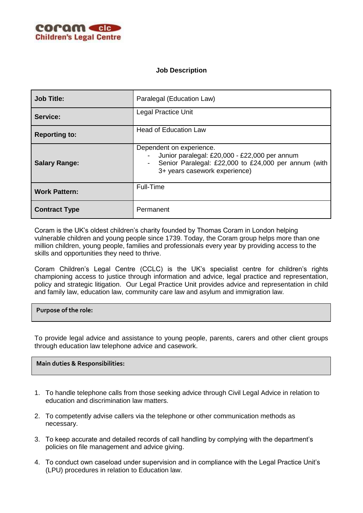

## **Job Description**

| <b>Job Title:</b>    | Paralegal (Education Law)                                                                                                                                          |
|----------------------|--------------------------------------------------------------------------------------------------------------------------------------------------------------------|
| Service:             | <b>Legal Practice Unit</b>                                                                                                                                         |
| <b>Reporting to:</b> | <b>Head of Education Law</b>                                                                                                                                       |
| <b>Salary Range:</b> | Dependent on experience.<br>Junior paralegal: £20,000 - £22,000 per annum<br>Senior Paralegal: £22,000 to £24,000 per annum (with<br>3+ years casework experience) |
| <b>Work Pattern:</b> | Full-Time                                                                                                                                                          |
| <b>Contract Type</b> | Permanent                                                                                                                                                          |

Coram is the UK's oldest children's charity founded by Thomas Coram in London helping vulnerable children and young people since 1739. Today, the Coram group helps more than one million children, young people, families and professionals every year by providing access to the skills and opportunities they need to thrive.

Coram Children's Legal Centre (CCLC) is the UK's specialist centre for children's rights championing access to justice through information and advice, legal practice and representation, policy and strategic litigation. Our Legal Practice Unit provides advice and representation in child and family law, education law, community care law and asylum and immigration law.

**Purpose of the role:**

To provide legal advice and assistance to young people, parents, carers and other client groups through education law telephone advice and casework.

**Main duties & Responsibilities:**

- 1. To handle telephone calls from those seeking advice through Civil Legal Advice in relation to education and discrimination law matters.
- 2. To competently advise callers via the telephone or other communication methods as necessary.
- 3. To keep accurate and detailed records of call handling by complying with the department's policies on file management and advice giving.
- 4. To conduct own caseload under supervision and in compliance with the Legal Practice Unit's (LPU) procedures in relation to Education law.